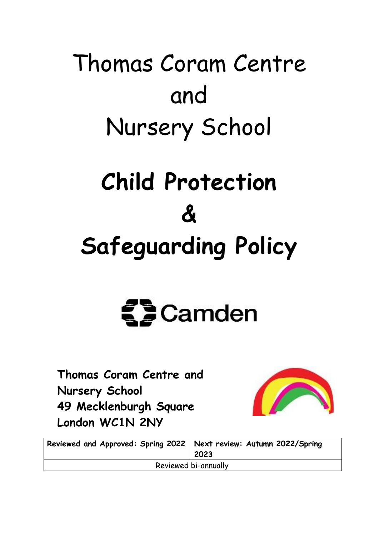# Thomas Coram Centre and Nursery School **Child Protection**

# **&**

# **Safeguarding Policy**



**Thomas Coram Centre and Nursery School 49 Mecklenburgh Square London WC1N 2NY**



| Reviewed and Approved: Spring 2022   Next review: Autumn 2022/Spring | 2023 |
|----------------------------------------------------------------------|------|
| Reviewed bi-annually                                                 |      |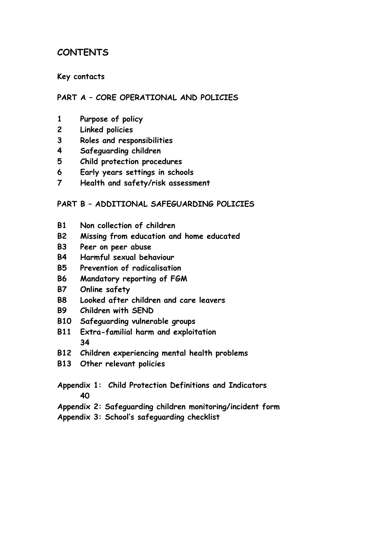# **CONTENTS**

#### **Key contacts**

#### **PART A – CORE OPERATIONAL AND POLICIES**

- **1 Purpose of policy**
- **2 Linked policies**
- **3 Roles and responsibilities**
- **4 Safeguarding children**
- **5 Child protection procedures**
- **6 Early years settings in schools**
- **7 Health and safety/risk assessment**

#### **PART B – ADDITIONAL SAFEGUARDING POLICIES**

- **B1 Non collection of children**
- **B2 Missing from education and home educated**
- **B3 Peer on peer abuse**
- **B4 Harmful sexual behaviour**
- **B5 Prevention of radicalisation**
- **B6 Mandatory reporting of FGM**
- **B7 Online safety**
- **B8 Looked after children and care leavers**
- **B9 Children with SEND**
- **B10 Safeguarding vulnerable groups**
- **B11 Extra-familial harm and exploitation 34**
- **B12 Children experiencing mental health problems**
- **B13 Other relevant policies**
- **Appendix 1: Child Protection Definitions and Indicators 40**
- **Appendix 2: Safeguarding children monitoring/incident form**
- **Appendix 3: School's safeguarding checklist**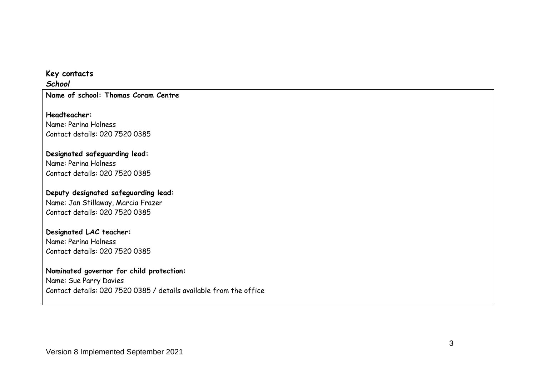#### **Key contacts**

*School*

**Name of school: Thomas Coram Centre**

**Headteacher:** Name: Perina Holness Contact details: 020 7520 0385

#### **Designated safeguarding lead:** Name: Perina Holness

Contact details: 020 7520 0385

#### **Deputy designated safeguarding lead:** Name: Jan Stillaway, Marcia Frazer Contact details: 020 7520 0385

#### **Designated LAC teacher:**

Name: Perina Holness Contact details: 020 7520 0385

#### **Nominated governor for child protection:**

Name: Sue Parry Davies Contact details: 020 7520 0385 / details available from the office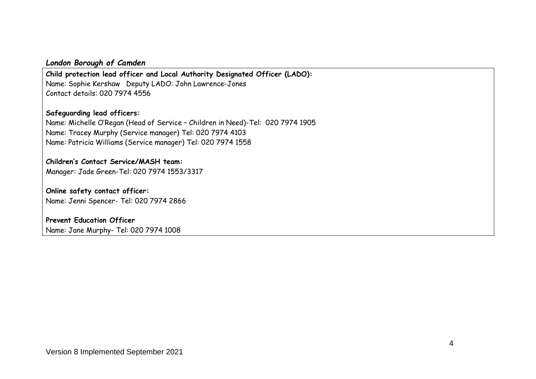#### *London Borough of Camden*

**Child protection lead officer and Local Authority Designated Officer (LADO):** Name: Sophie Kershaw Deputy LADO: John Lawrence-Jones Contact details: 020 7974 4556

#### **Safeguarding lead officers:**

Name: Michelle O'Regan (Head of Service – Children in Need)-Tel: 020 7974 1905 Name: Tracey Murphy (Service manager) Tel: 020 7974 4103 Name: Patricia Williams (Service manager) Tel: 020 7974 1558

# **Children's Contact Service/MASH team:**

Manager: Jade Green-Tel: 020 7974 1553/3317

#### **Online safety contact officer:** Name: Jenni Spencer- Tel: 020 7974 2866

#### **Prevent Education Officer**

Name: Jane Murphy- Tel: 020 7974 1008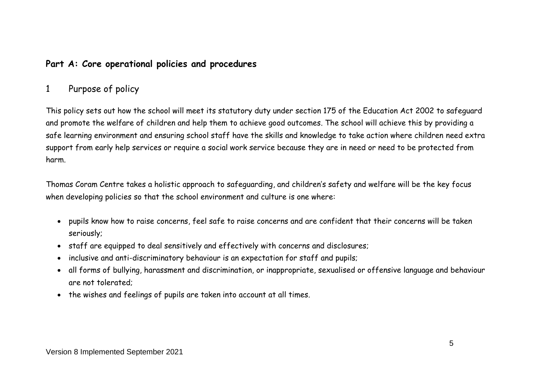# **Part A: Core operational policies and procedures**

# 1 Purpose of policy

This policy sets out how the school will meet its statutory duty under section 175 of the Education Act 2002 to safeguard and promote the welfare of children and help them to achieve good outcomes. The school will achieve this by providing a safe learning environment and ensuring school staff have the skills and knowledge to take action where children need extra support from early help services or require a social work service because they are in need or need to be protected from harm.

Thomas Coram Centre takes a holistic approach to safeguarding, and children's safety and welfare will be the key focus when developing policies so that the school environment and culture is one where:

- pupils know how to raise concerns, feel safe to raise concerns and are confident that their concerns will be taken seriously;
- staff are equipped to deal sensitively and effectively with concerns and disclosures;
- inclusive and anti-discriminatory behaviour is an expectation for staff and pupils;
- all forms of bullying, harassment and discrimination, or inappropriate, sexualised or offensive language and behaviour are not tolerated;
- the wishes and feelings of pupils are taken into account at all times.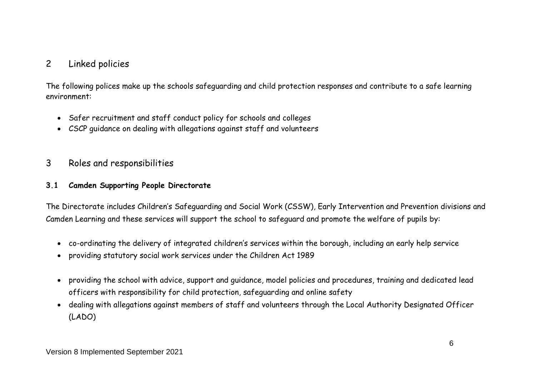# 2 Linked policies

The following polices make up the schools safeguarding and child protection responses and contribute to a safe learning environment:

- Safer recruitment and staff conduct policy for schools and colleges
- CSCP guidance on dealing with allegations against staff and volunteers

# 3 Roles and responsibilities

#### **3.1 Camden Supporting People Directorate**

The Directorate includes Children's Safeguarding and Social Work (CSSW), Early Intervention and Prevention divisions and Camden Learning and these services will support the school to safeguard and promote the welfare of pupils by:

- co-ordinating the delivery of integrated children's services within the borough, including an early help service
- providing statutory social work services under the Children Act 1989
- providing the school with advice, support and guidance, model policies and procedures, training and dedicated lead officers with responsibility for child protection, safeguarding and online safety
- dealing with allegations against members of staff and volunteers through the Local Authority Designated Officer (LADO)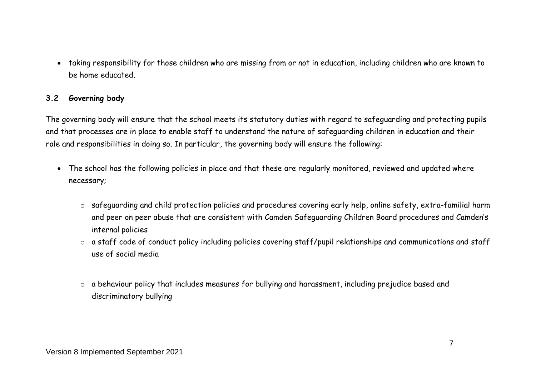taking responsibility for those children who are missing from or not in education, including children who are known to be home educated.

#### **3.2 Governing body**

The governing body will ensure that the school meets its statutory duties with regard to safeguarding and protecting pupils and that processes are in place to enable staff to understand the nature of safeguarding children in education and their role and responsibilities in doing so. In particular, the governing body will ensure the following:

- The school has the following policies in place and that these are regularly monitored, reviewed and updated where necessary;
	- o safeguarding and child protection policies and procedures covering early help, online safety, extra-familial harm and peer on peer abuse that are consistent with Camden Safeguarding Children Board procedures and Camden's internal policies
	- o a staff code of conduct policy including policies covering staff/pupil relationships and communications and staff use of social media
	- o a behaviour policy that includes measures for bullying and harassment, including prejudice based and discriminatory bullying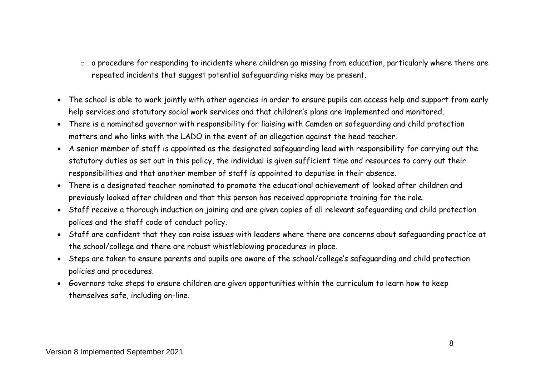- o a procedure for responding to incidents where children go missing from education, particularly where there are repeated incidents that suggest potential safeguarding risks may be present.
- The school is able to work jointly with other agencies in order to ensure pupils can access help and support from early help services and statutory social work services and that children's plans are implemented and monitored.
- There is a nominated governor with responsibility for liaising with Camden on safeguarding and child protection matters and who links with the LADO in the event of an allegation against the head teacher.
- A senior member of staff is appointed as the designated safeguarding lead with responsibility for carrying out the statutory duties as set out in this policy, the individual is given sufficient time and resources to carry out their responsibilities and that another member of staff is appointed to deputise in their absence.
- There is a designated teacher nominated to promote the educational achievement of looked after children and previously looked after children and that this person has received appropriate training for the role.
- Staff receive a thorough induction on joining and are given copies of all relevant safeguarding and child protection polices and the staff code of conduct policy.
- Staff are confident that they can raise issues with leaders where there are concerns about safeguarding practice at the school/college and there are robust whistleblowing procedures in place.
- Steps are taken to ensure parents and pupils are aware of the school/college's safeguarding and child protection policies and procedures.
- Governors take steps to ensure children are given opportunities within the curriculum to learn how to keep themselves safe, including on-line.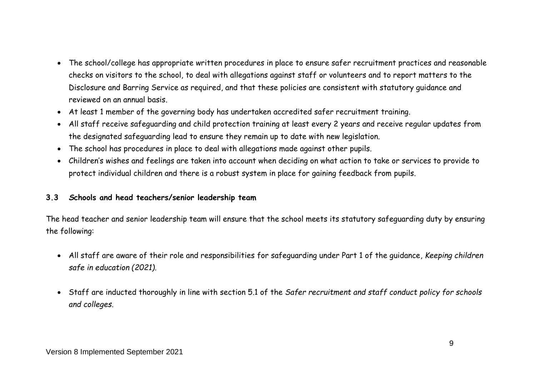- The school/college has appropriate written procedures in place to ensure safer recruitment practices and reasonable checks on visitors to the school, to deal with allegations against staff or volunteers and to report matters to the Disclosure and Barring Service as required, and that these policies are consistent with statutory guidance and reviewed on an annual basis.
- At least 1 member of the governing body has undertaken accredited safer recruitment training.
- All staff receive safeguarding and child protection training at least every 2 years and receive regular updates from the designated safeguarding lead to ensure they remain up to date with new legislation.
- The school has procedures in place to deal with allegations made against other pupils.
- Children's wishes and feelings are taken into account when deciding on what action to take or services to provide to protect individual children and there is a robust system in place for gaining feedback from pupils.

#### **3.3** *S***chools and head teachers/senior leadership team**

The head teacher and senior leadership team will ensure that the school meets its statutory safeguarding duty by ensuring the following:

- All staff are aware of their role and responsibilities for safeguarding under Part 1 of the guidance, *Keeping children safe in education (2021).*
- Staff are inducted thoroughly in line with section 5.1 of the *Safer recruitment and staff conduct policy for schools and colleges*.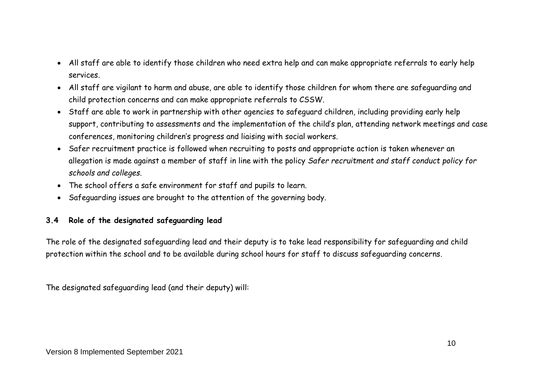- All staff are able to identify those children who need extra help and can make appropriate referrals to early help services.
- All staff are vigilant to harm and abuse, are able to identify those children for whom there are safeguarding and child protection concerns and can make appropriate referrals to CSSW.
- Staff are able to work in partnership with other agencies to safeguard children, including providing early help support, contributing to assessments and the implementation of the child's plan, attending network meetings and case conferences, monitoring children's progress and liaising with social workers.
- Safer recruitment practice is followed when recruiting to posts and appropriate action is taken whenever an allegation is made against a member of staff in line with the policy *Safer recruitment and staff conduct policy for schools and colleges*.
- The school offers a safe environment for staff and pupils to learn.
- Safeguarding issues are brought to the attention of the governing body.

# **3.4 Role of the designated safeguarding lead**

The role of the designated safeguarding lead and their deputy is to take lead responsibility for safeguarding and child protection within the school and to be available during school hours for staff to discuss safeguarding concerns.

The designated safeguarding lead (and their deputy) will: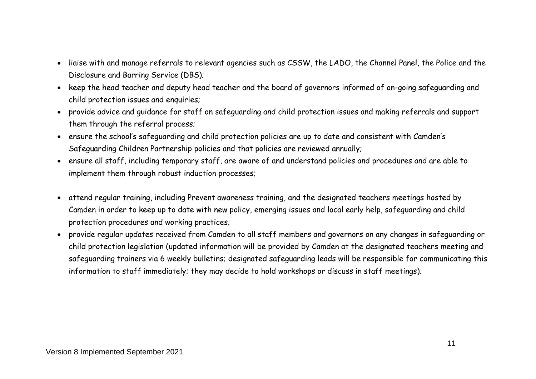- liaise with and manage referrals to relevant agencies such as CSSW, the LADO, the Channel Panel, the Police and the Disclosure and Barring Service (DBS);
- keep the head teacher and deputy head teacher and the board of governors informed of on-going safeguarding and child protection issues and enquiries;
- provide advice and guidance for staff on safeguarding and child protection issues and making referrals and support them through the referral process;
- ensure the school's safeguarding and child protection policies are up to date and consistent with Camden's Safeguarding Children Partnership policies and that policies are reviewed annually;
- ensure all staff, including temporary staff, are aware of and understand policies and procedures and are able to implement them through robust induction processes;
- attend regular training, including Prevent awareness training, and the designated teachers meetings hosted by Camden in order to keep up to date with new policy, emerging issues and local early help, safeguarding and child protection procedures and working practices;
- provide regular updates received from Camden to all staff members and governors on any changes in safeguarding or child protection legislation (updated information will be provided by Camden at the designated teachers meeting and safeguarding trainers via 6 weekly bulletins; designated safeguarding leads will be responsible for communicating this information to staff immediately; they may decide to hold workshops or discuss in staff meetings);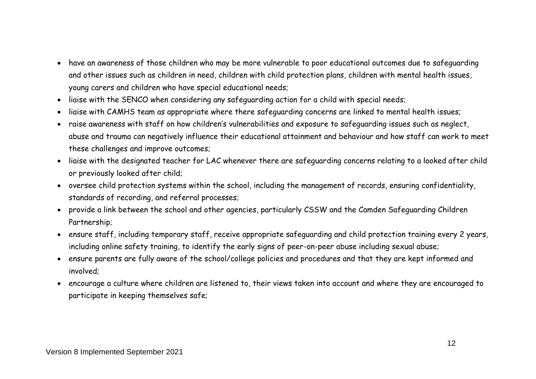- have an awareness of those children who may be more vulnerable to poor educational outcomes due to safeguarding and other issues such as children in need, children with child protection plans, children with mental health issues, young carers and children who have special educational needs;
- liaise with the SENCO when considering any safeguarding action for a child with special needs;
- liaise with CAMHS team as appropriate where there safeguarding concerns are linked to mental health issues;
- raise awareness with staff on how children's vulnerabilities and exposure to safeguarding issues such as neglect, abuse and trauma can negatively influence their educational attainment and behaviour and how staff can work to meet these challenges and improve outcomes;
- liaise with the designated teacher for LAC whenever there are safeguarding concerns relating to a looked after child or previously looked after child;
- oversee child protection systems within the school, including the management of records, ensuring confidentiality, standards of recording, and referral processes;
- provide a link between the school and other agencies, particularly CSSW and the Camden Safeguarding Children Partnership;
- ensure staff, including temporary staff, receive appropriate safeguarding and child protection training every 2 years, including online safety training, to identify the early signs of peer-on-peer abuse including sexual abuse;
- ensure parents are fully aware of the school/college policies and procedures and that they are kept informed and involved;
- encourage a culture where children are listened to, their views taken into account and where they are encouraged to participate in keeping themselves safe;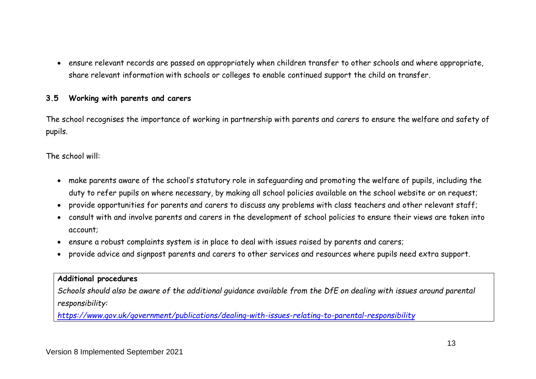ensure relevant records are passed on appropriately when children transfer to other schools and where appropriate, share relevant information with schools or colleges to enable continued support the child on transfer.

#### **3.5 Working with parents and carers**

The school recognises the importance of working in partnership with parents and carers to ensure the welfare and safety of pupils.

The school will:

- make parents aware of the school's statutory role in safeguarding and promoting the welfare of pupils, including the duty to refer pupils on where necessary, by making all school policies available on the school website or on request;
- provide opportunities for parents and carers to discuss any problems with class teachers and other relevant staff;
- consult with and involve parents and carers in the development of school policies to ensure their views are taken into account;
- ensure a robust complaints system is in place to deal with issues raised by parents and carers;
- provide advice and signpost parents and carers to other services and resources where pupils need extra support.

#### **Additional procedures**

*Schools should also be aware of the additional guidance available from the DfE on dealing with issues around parental responsibility:*

*<https://www.gov.uk/government/publications/dealing-with-issues-relating-to-parental-responsibility>*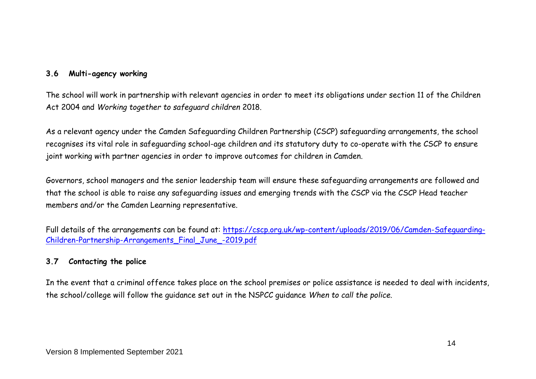#### **3.6 Multi-agency working**

The school will work in partnership with relevant agencies in order to meet its obligations under section 11 of the Children Act 2004 and *Working together to safeguard children* 2018.

As a relevant agency under the Camden Safeguarding Children Partnership (CSCP) safeguarding arrangements, the school recognises its vital role in safeguarding school-age children and its statutory duty to co-operate with the CSCP to ensure joint working with partner agencies in order to improve outcomes for children in Camden.

Governors, school managers and the senior leadership team will ensure these safeguarding arrangements are followed and that the school is able to raise any safeguarding issues and emerging trends with the CSCP via the CSCP Head teacher members and/or the Camden Learning representative.

Full details of the arrangements can be found at: [https://cscp.org.uk/wp-content/uploads/2019/06/Camden-Safeguarding-](https://cscp.org.uk/wp-content/uploads/2019/06/Camden-Safeguarding-Children-Partnership-Arrangements_Final_June_-2019.pdf)[Children-Partnership-Arrangements\\_Final\\_June\\_-2019.pdf](https://cscp.org.uk/wp-content/uploads/2019/06/Camden-Safeguarding-Children-Partnership-Arrangements_Final_June_-2019.pdf)

#### **3.7 Contacting the police**

In the event that a criminal offence takes place on the school premises or police assistance is needed to deal with incidents, the school/college will follow the guidance set out in the NSPCC guidance *When to call the police.*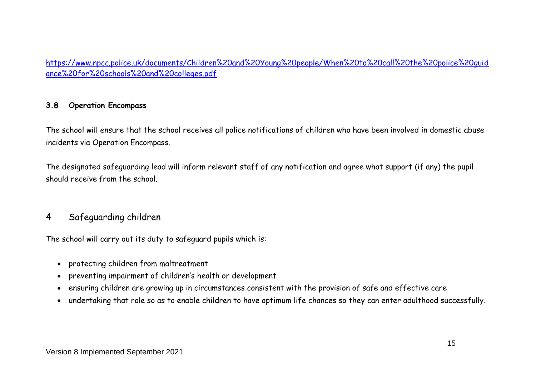[https://www.npcc.police.uk/documents/Children%20and%20Young%20people/When%20to%20call%20the%20police%20guid](https://www.npcc.police.uk/documents/Children%20and%20Young%20people/When%20to%20call%20the%20police%20guidance%20for%20schools%20and%20colleges.pdf) [ance%20for%20schools%20and%20colleges.pdf](https://www.npcc.police.uk/documents/Children%20and%20Young%20people/When%20to%20call%20the%20police%20guidance%20for%20schools%20and%20colleges.pdf)

#### **3.8 Operation Encompass**

The school will ensure that the school receives all police notifications of children who have been involved in domestic abuse incidents via Operation Encompass.

The designated safeguarding lead will inform relevant staff of any notification and agree what support (if any) the pupil should receive from the school.

# 4 Safeguarding children

The school will carry out its duty to safeguard pupils which is:

- protecting children from maltreatment
- preventing impairment of children's health or development
- ensuring children are growing up in circumstances consistent with the provision of safe and effective care
- undertaking that role so as to enable children to have optimum life chances so they can enter adulthood successfully.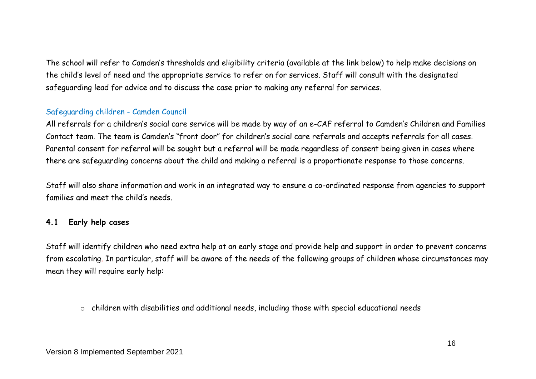The school will refer to Camden's thresholds and eligibility criteria (available at the link below) to help make decisions on the child's level of need and the appropriate service to refer on for services. Staff will consult with the designated safeguarding lead for advice and to discuss the case prior to making any referral for services.

### [Safeguarding children -](http://camden.gov.uk/ccm/navigation/social-care-and-health/safeguarding-children/?source=mega-menu) Camden Council

All referrals for a children's social care service will be made by way of an e-CAF referral to Camden's Children and Families Contact team. The team is Camden's "front door" for children's social care referrals and accepts referrals for all cases. Parental consent for referral will be sought but a referral will be made regardless of consent being given in cases where there are safeguarding concerns about the child and making a referral is a proportionate response to those concerns.

Staff will also share information and work in an integrated way to ensure a co-ordinated response from agencies to support families and meet the child's needs.

# **4.1 Early help cases**

Staff will identify children who need extra help at an early stage and provide help and support in order to prevent concerns from escalating. In particular, staff will be aware of the needs of the following groups of children whose circumstances may mean they will require early help:

o children with disabilities and additional needs, including those with special educational needs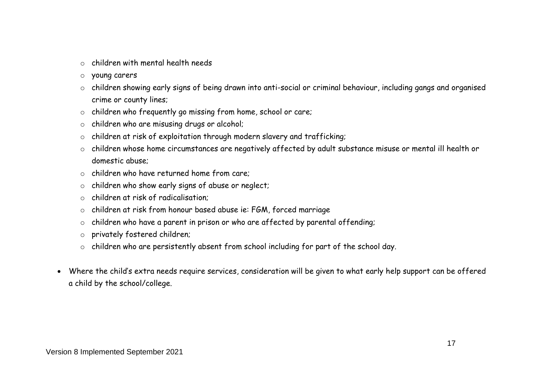- $\circ$  children with mental health needs
- o young carers
- o children showing early signs of being drawn into anti-social or criminal behaviour, including gangs and organised crime or county lines;
- o children who frequently go missing from home, school or care;
- o children who are misusing drugs or alcohol;
- o children at risk of exploitation through modern slavery and trafficking;
- o children whose home circumstances are negatively affected by adult substance misuse or mental ill health or domestic abuse;
- o children who have returned home from care;
- o children who show early signs of abuse or neglect;
- o children at risk of radicalisation;
- o children at risk from honour based abuse ie: FGM, forced marriage
- $\circ$  children who have a parent in prison or who are affected by parental offending;
- o privately fostered children;
- o children who are persistently absent from school including for part of the school day.
- Where the child's extra needs require services, consideration will be given to what early help support can be offered a child by the school/college.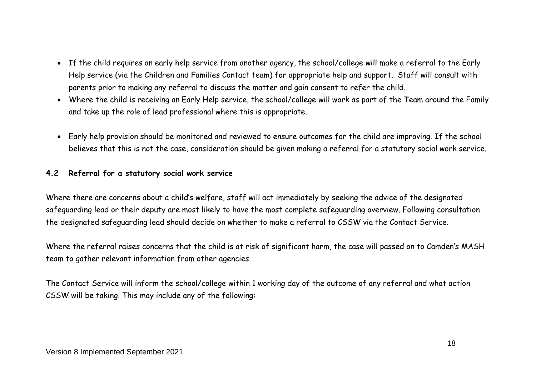- If the child requires an early help service from another agency, the school/college will make a referral to the Early Help service (via the Children and Families Contact team) for appropriate help and support. Staff will consult with parents prior to making any referral to discuss the matter and gain consent to refer the child.
- Where the child is receiving an Early Help service, the school/college will work as part of the Team around the Family and take up the role of lead professional where this is appropriate.
- Early help provision should be monitored and reviewed to ensure outcomes for the child are improving. If the school believes that this is not the case, consideration should be given making a referral for a statutory social work service.

#### **4.2 Referral for a statutory social work service**

Where there are concerns about a child's welfare, staff will act immediately by seeking the advice of the designated safeguarding lead or their deputy are most likely to have the most complete safeguarding overview. Following consultation the designated safeguarding lead should decide on whether to make a referral to CSSW via the Contact Service.

Where the referral raises concerns that the child is at risk of significant harm, the case will passed on to Camden's MASH team to gather relevant information from other agencies.

The Contact Service will inform the school/college within 1 working day of the outcome of any referral and what action CSSW will be taking. This may include any of the following: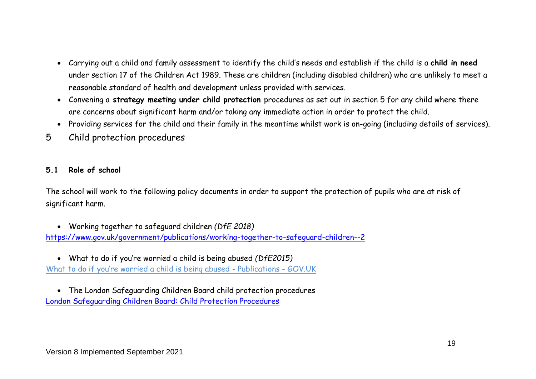- Carrying out a child and family assessment to identify the child's needs and establish if the child is a **child in need** under section 17 of the Children Act 1989. These are children (including disabled children) who are unlikely to meet a reasonable standard of health and development unless provided with services.
- Convening a **strategy meeting under child protection** procedures as set out in section 5 for any child where there are concerns about significant harm and/or taking any immediate action in order to protect the child.
- Providing services for the child and their family in the meantime whilst work is on-going (including details of services).
- 5 Child protection procedures

#### **5.1 Role of school**

The school will work to the following policy documents in order to support the protection of pupils who are at risk of significant harm.

- Working together to safeguard children *(DfE 2018)* <https://www.gov.uk/government/publications/working-together-to-safeguard-children--2>
- What to do if you're worried a child is being abused *(DfE2015)* [What to do if you're worried a child is being abused](https://www.gov.uk/government/publications/what-to-do-if-youre-worried-a-child-is-being-abused--2) - Publications - GOV.UK
- The London Safeguarding Children Board child protection procedures [London Safeguarding Children Board: Child Protection Procedures](http://www.londoncp.co.uk/)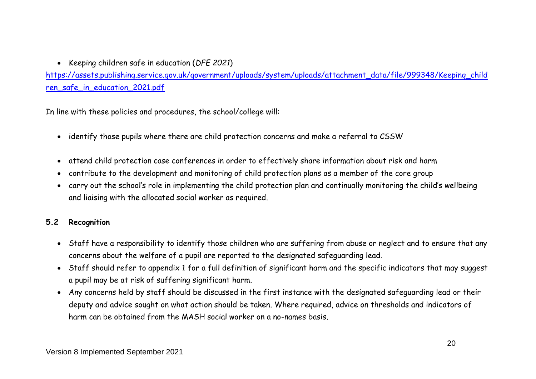Keeping children safe in education (*DFE 2021*)

[https://assets.publishing.service.gov.uk/government/uploads/system/uploads/attachment\\_data/file/999348/Keeping\\_child](https://assets.publishing.service.gov.uk/government/uploads/system/uploads/attachment_data/file/999348/Keeping_children_safe_in_education_2021.pdf) ren safe in education 2021.pdf

In line with these policies and procedures, the school/college will:

- identify those pupils where there are child protection concerns and make a referral to CSSW
- attend child protection case conferences in order to effectively share information about risk and harm
- contribute to the development and monitoring of child protection plans as a member of the core group
- carry out the school's role in implementing the child protection plan and continually monitoring the child's wellbeing and liaising with the allocated social worker as required.

#### **5.2 Recognition**

- Staff have a responsibility to identify those children who are suffering from abuse or neglect and to ensure that any concerns about the welfare of a pupil are reported to the designated safeguarding lead.
- Staff should refer to appendix 1 for a full definition of significant harm and the specific indicators that may suggest a pupil may be at risk of suffering significant harm.
- Any concerns held by staff should be discussed in the first instance with the designated safeguarding lead or their deputy and advice sought on what action should be taken. Where required, advice on thresholds and indicators of harm can be obtained from the MASH social worker on a no-names basis.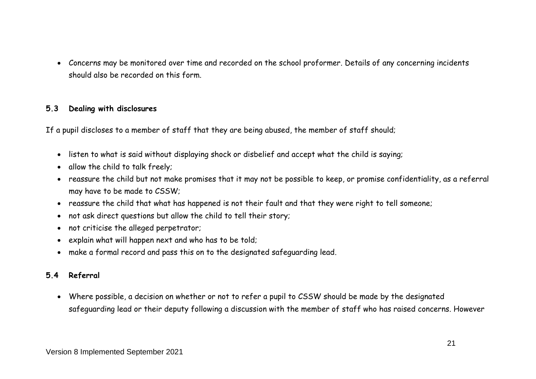Concerns may be monitored over time and recorded on the school proformer. Details of any concerning incidents should also be recorded on this form.

#### **5.3 Dealing with disclosures**

If a pupil discloses to a member of staff that they are being abused, the member of staff should;

- listen to what is said without displaying shock or disbelief and accept what the child is saying;
- allow the child to talk freely;
- reassure the child but not make promises that it may not be possible to keep, or promise confidentiality, as a referral may have to be made to CSSW;
- reassure the child that what has happened is not their fault and that they were right to tell someone;
- not ask direct questions but allow the child to tell their story;
- not criticise the alleged perpetrator;
- explain what will happen next and who has to be told;
- make a formal record and pass this on to the designated safeguarding lead.

# **5.4 Referral**

 Where possible, a decision on whether or not to refer a pupil to CSSW should be made by the designated safeguarding lead or their deputy following a discussion with the member of staff who has raised concerns. However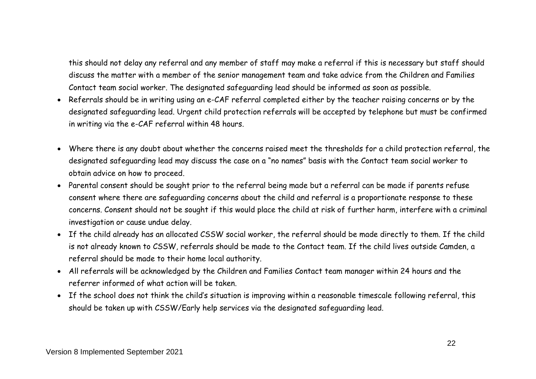this should not delay any referral and any member of staff may make a referral if this is necessary but staff should discuss the matter with a member of the senior management team and take advice from the Children and Families Contact team social worker. The designated safeguarding lead should be informed as soon as possible.

- Referrals should be in writing using an e-CAF referral completed either by the teacher raising concerns or by the designated safeguarding lead. Urgent child protection referrals will be accepted by telephone but must be confirmed in writing via the e-CAF referral within 48 hours.
- Where there is any doubt about whether the concerns raised meet the thresholds for a child protection referral, the designated safeguarding lead may discuss the case on a "no names" basis with the Contact team social worker to obtain advice on how to proceed.
- Parental consent should be sought prior to the referral being made but a referral can be made if parents refuse consent where there are safeguarding concerns about the child and referral is a proportionate response to these concerns. Consent should not be sought if this would place the child at risk of further harm, interfere with a criminal investigation or cause undue delay.
- If the child already has an allocated CSSW social worker, the referral should be made directly to them. If the child is not already known to CSSW, referrals should be made to the Contact team. If the child lives outside Camden, a referral should be made to their home local authority.
- All referrals will be acknowledged by the Children and Families Contact team manager within 24 hours and the referrer informed of what action will be taken.
- If the school does not think the child's situation is improving within a reasonable timescale following referral, this should be taken up with CSSW/Early help services via the designated safeguarding lead.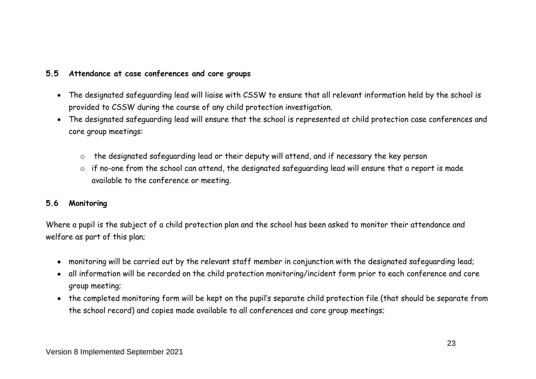#### **5.5 Attendance at case conferences and core groups**

- The designated safeguarding lead will liaise with CSSW to ensure that all relevant information held by the school is provided to CSSW during the course of any child protection investigation.
- The designated safeguarding lead will ensure that the school is represented at child protection case conferences and core group meetings:
	- o the designated safeguarding lead or their deputy will attend, and if necessary the key person
	- o if no-one from the school can attend, the designated safeguarding lead will ensure that a report is made available to the conference or meeting.

#### **5.6 Monitoring**

Where a pupil is the subject of a child protection plan and the school has been asked to monitor their attendance and welfare as part of this plan;

- monitoring will be carried out by the relevant staff member in conjunction with the designated safeguarding lead;
- all information will be recorded on the child protection monitoring/incident form prior to each conference and core group meeting;
- the completed monitoring form will be kept on the pupil's separate child protection file (that should be separate from the school record) and copies made available to all conferences and core group meetings;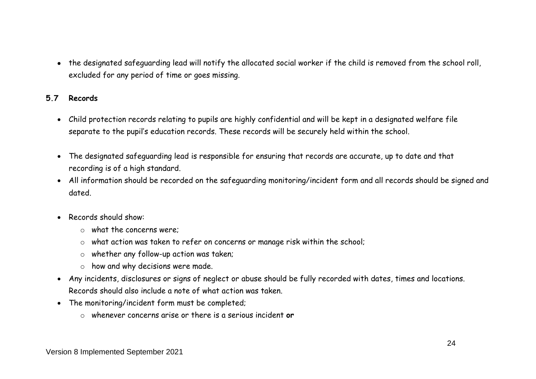the designated safeguarding lead will notify the allocated social worker if the child is removed from the school roll, excluded for any period of time or goes missing.

#### **5.7 Records**

- Child protection records relating to pupils are highly confidential and will be kept in a designated welfare file separate to the pupil's education records. These records will be securely held within the school.
- The designated safeguarding lead is responsible for ensuring that records are accurate, up to date and that recording is of a high standard.
- All information should be recorded on the safeguarding monitoring/incident form and all records should be signed and dated.
- Records should show:
	- $\circ$  what the concerns were:
	- o what action was taken to refer on concerns or manage risk within the school;
	- o whether any follow-up action was taken;
	- o how and why decisions were made.
- Any incidents, disclosures or signs of neglect or abuse should be fully recorded with dates, times and locations. Records should also include a note of what action was taken.
- The monitoring/incident form must be completed;
	- o whenever concerns arise or there is a serious incident **or**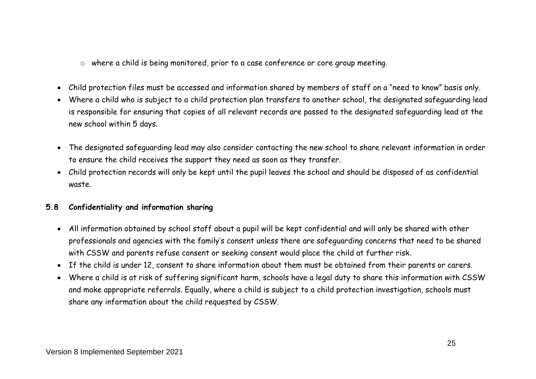o where a child is being monitored, prior to a case conference or core group meeting.

- Child protection files must be accessed and information shared by members of staff on a "need to know" basis only.
- Where a child who is subject to a child protection plan transfers to another school, the designated safeguarding lead is responsible for ensuring that copies of all relevant records are passed to the designated safeguarding lead at the new school within 5 days.
- The designated safeguarding lead may also consider contacting the new school to share relevant information in order to ensure the child receives the support they need as soon as they transfer.
- Child protection records will only be kept until the pupil leaves the school and should be disposed of as confidential waste.

#### **5.8 Confidentiality and information sharing**

- All information obtained by school staff about a pupil will be kept confidential and will only be shared with other professionals and agencies with the family's consent unless there are safeguarding concerns that need to be shared with CSSW and parents refuse consent or seeking consent would place the child at further risk.
- If the child is under 12, consent to share information about them must be obtained from their parents or carers.
- Where a child is at risk of suffering significant harm, schools have a legal duty to share this information with CSSW and make appropriate referrals. Equally, where a child is subject to a child protection investigation, schools must share any information about the child requested by CSSW.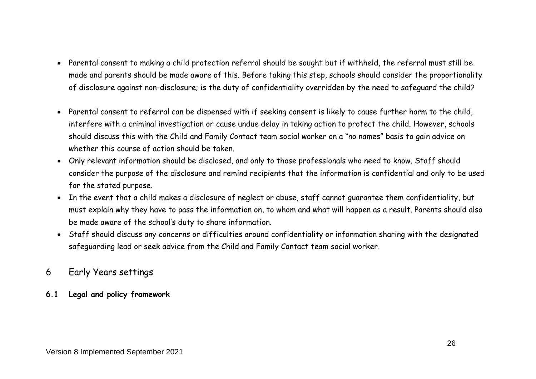- Parental consent to making a child protection referral should be sought but if withheld, the referral must still be made and parents should be made aware of this. Before taking this step, schools should consider the proportionality of disclosure against non-disclosure; is the duty of confidentiality overridden by the need to safeguard the child?
- Parental consent to referral can be dispensed with if seeking consent is likely to cause further harm to the child, interfere with a criminal investigation or cause undue delay in taking action to protect the child. However, schools should discuss this with the Child and Family Contact team social worker on a "no names" basis to gain advice on whether this course of action should be taken.
- Only relevant information should be disclosed, and only to those professionals who need to know. Staff should consider the purpose of the disclosure and remind recipients that the information is confidential and only to be used for the stated purpose.
- In the event that a child makes a disclosure of neglect or abuse, staff cannot guarantee them confidentiality, but must explain why they have to pass the information on, to whom and what will happen as a result. Parents should also be made aware of the school's duty to share information.
- Staff should discuss any concerns or difficulties around confidentiality or information sharing with the designated safeguarding lead or seek advice from the Child and Family Contact team social worker.

# 6 Early Years settings

#### **6.1 Legal and policy framework**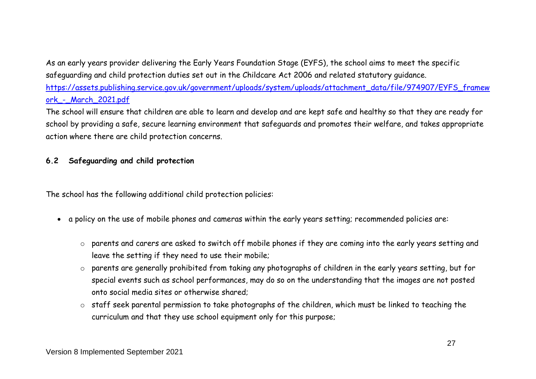As an early years provider delivering the Early Years Foundation Stage (EYFS), the school aims to meet the specific safeguarding and child protection duties set out in the Childcare Act 2006 and related statutory guidance. [https://assets.publishing.service.gov.uk/government/uploads/system/uploads/attachment\\_data/file/974907/EYFS\\_framew](https://assets.publishing.service.gov.uk/government/uploads/system/uploads/attachment_data/file/974907/EYFS_framework_-_March_2021.pdf) ork - March 2021.pdf

The school will ensure that children are able to learn and develop and are kept safe and healthy so that they are ready for school by providing a safe, secure learning environment that safeguards and promotes their welfare, and takes appropriate action where there are child protection concerns.

#### **6.2 Safeguarding and child protection**

The school has the following additional child protection policies:

- a policy on the use of mobile phones and cameras within the early years setting; recommended policies are:
	- o parents and carers are asked to switch off mobile phones if they are coming into the early years setting and leave the setting if they need to use their mobile;
	- o parents are generally prohibited from taking any photographs of children in the early years setting, but for special events such as school performances, may do so on the understanding that the images are not posted onto social media sites or otherwise shared;
	- o staff seek parental permission to take photographs of the children, which must be linked to teaching the curriculum and that they use school equipment only for this purpose;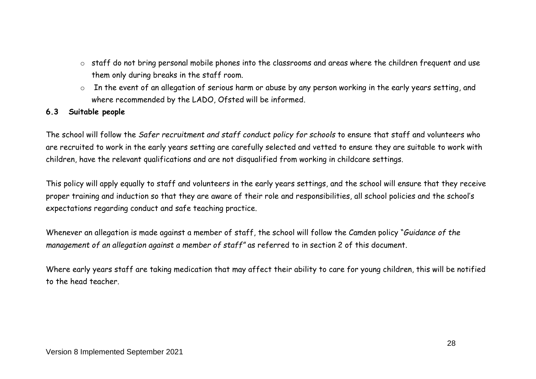- o staff do not bring personal mobile phones into the classrooms and areas where the children frequent and use them only during breaks in the staff room.
- o In the event of an allegation of serious harm or abuse by any person working in the early years setting, and where recommended by the LADO, Ofsted will be informed.

#### **6.3 Suitable people**

The school will follow the *Safer recruitment and staff conduct policy for schools* to ensure that staff and volunteers who are recruited to work in the early years setting are carefully selected and vetted to ensure they are suitable to work with children, have the relevant qualifications and are not disqualified from working in childcare settings.

This policy will apply equally to staff and volunteers in the early years settings, and the school will ensure that they receive proper training and induction so that they are aware of their role and responsibilities, all school policies and the school's expectations regarding conduct and safe teaching practice.

Whenever an allegation is made against a member of staff, the school will follow the Camden policy "*Guidance of the management of an allegation against a member of staff"* as referred to in section 2 of this document.

Where early years staff are taking medication that may affect their ability to care for young children, this will be notified to the head teacher.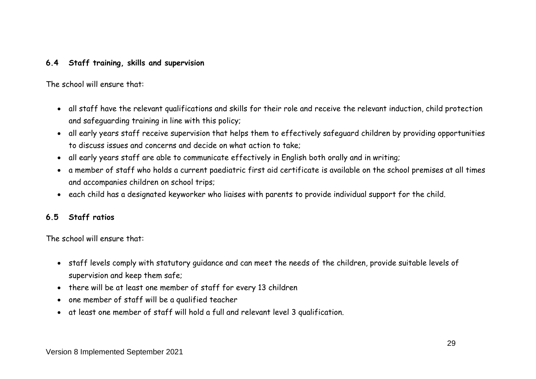#### **6.4 Staff training, skills and supervision**

The school will ensure that:

- all staff have the relevant qualifications and skills for their role and receive the relevant induction, child protection and safeguarding training in line with this policy;
- all early years staff receive supervision that helps them to effectively safeguard children by providing opportunities to discuss issues and concerns and decide on what action to take;
- all early years staff are able to communicate effectively in English both orally and in writing;
- a member of staff who holds a current paediatric first aid certificate is available on the school premises at all times and accompanies children on school trips;
- each child has a designated keyworker who liaises with parents to provide individual support for the child.

#### **6.5 Staff ratios**

The school will ensure that:

- staff levels comply with statutory guidance and can meet the needs of the children, provide suitable levels of supervision and keep them safe;
- there will be at least one member of staff for every 13 children
- one member of staff will be a qualified teacher
- at least one member of staff will hold a full and relevant level 3 qualification.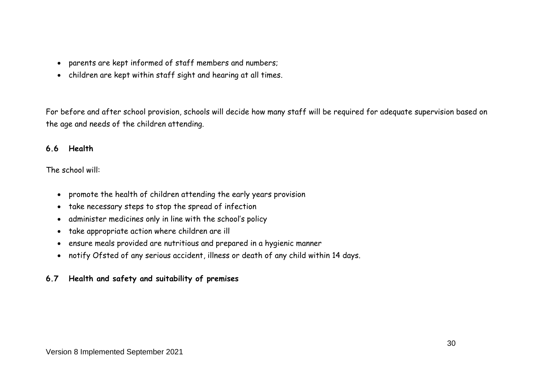- parents are kept informed of staff members and numbers;
- children are kept within staff sight and hearing at all times.

For before and after school provision, schools will decide how many staff will be required for adequate supervision based on the age and needs of the children attending.

#### **6.6 Health**

The school will:

- promote the health of children attending the early years provision
- take necessary steps to stop the spread of infection
- administer medicines only in line with the school's policy
- take appropriate action where children are ill
- ensure meals provided are nutritious and prepared in a hygienic manner
- notify Ofsted of any serious accident, illness or death of any child within 14 days.

#### **6.7 Health and safety and suitability of premises**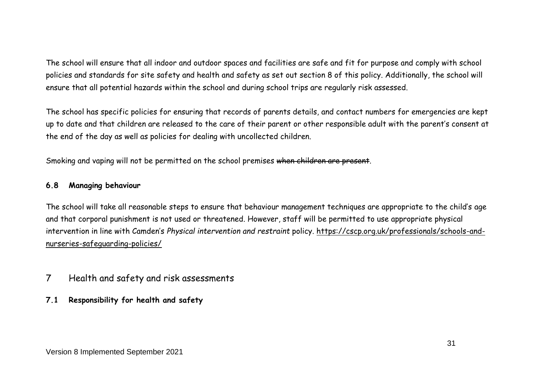The school will ensure that all indoor and outdoor spaces and facilities are safe and fit for purpose and comply with school policies and standards for site safety and health and safety as set out section 8 of this policy. Additionally, the school will ensure that all potential hazards within the school and during school trips are regularly risk assessed.

The school has specific policies for ensuring that records of parents details, and contact numbers for emergencies are kept up to date and that children are released to the care of their parent or other responsible adult with the parent's consent at the end of the day as well as policies for dealing with uncollected children.

Smoking and vaping will not be permitted on the school premises when children are present.

#### **6.8 Managing behaviour**

The school will take all reasonable steps to ensure that behaviour management techniques are appropriate to the child's age and that corporal punishment is not used or threatened. However, staff will be permitted to use appropriate physical intervention in line with Camden's *Physical intervention and restraint* policy. [https://cscp.org.uk/professionals/schools-and](https://cscp.org.uk/professionals/schools-and-nurseries-safeguarding-policies/)[nurseries-safeguarding-policies/](https://cscp.org.uk/professionals/schools-and-nurseries-safeguarding-policies/)

- 7 Health and safety and risk assessments
- **7.1 Responsibility for health and safety**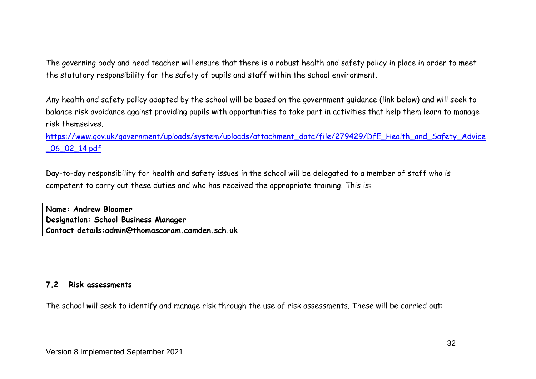The governing body and head teacher will ensure that there is a robust health and safety policy in place in order to meet the statutory responsibility for the safety of pupils and staff within the school environment.

Any health and safety policy adapted by the school will be based on the government guidance (link below) and will seek to balance risk avoidance against providing pupils with opportunities to take part in activities that help them learn to manage risk themselves.

[https://www.gov.uk/government/uploads/system/uploads/attachment\\_data/file/279429/DfE\\_Health\\_and\\_Safety\\_Advice](https://www.gov.uk/government/uploads/system/uploads/attachment_data/file/279429/DfE_Health_and_Safety_Advice_06_02_14.pdf) [\\_06\\_02\\_14.pdf](https://www.gov.uk/government/uploads/system/uploads/attachment_data/file/279429/DfE_Health_and_Safety_Advice_06_02_14.pdf)

Day-to-day responsibility for health and safety issues in the school will be delegated to a member of staff who is competent to carry out these duties and who has received the appropriate training. This is:

**Name: Andrew Bloomer Designation: School Business Manager Contact details:admin@thomascoram.camden.sch.uk**

#### **7.2 Risk assessments**

The school will seek to identify and manage risk through the use of risk assessments. These will be carried out: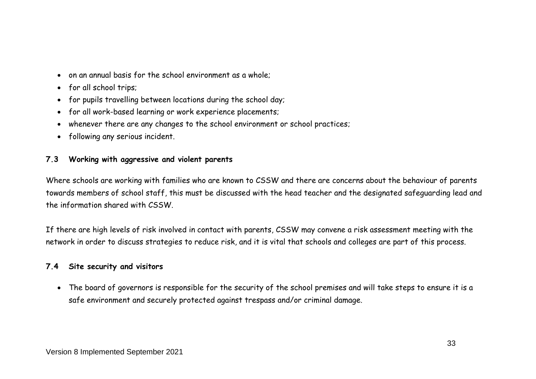- on an annual basis for the school environment as a whole;
- for all school trips;
- for pupils travelling between locations during the school day;
- for all work-based learning or work experience placements;
- whenever there are any changes to the school environment or school practices;
- following any serious incident.

#### **7.3 Working with aggressive and violent parents**

Where schools are working with families who are known to CSSW and there are concerns about the behaviour of parents towards members of school staff, this must be discussed with the head teacher and the designated safeguarding lead and the information shared with CSSW.

If there are high levels of risk involved in contact with parents, CSSW may convene a risk assessment meeting with the network in order to discuss strategies to reduce risk, and it is vital that schools and colleges are part of this process.

#### **7.4 Site security and visitors**

 The board of governors is responsible for the security of the school premises and will take steps to ensure it is a safe environment and securely protected against trespass and/or criminal damage.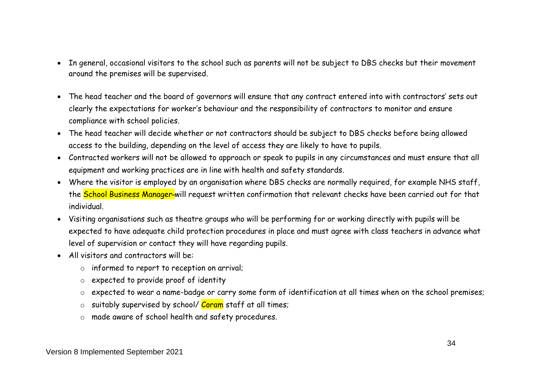- In general, occasional visitors to the school such as parents will not be subject to DBS checks but their movement around the premises will be supervised.
- The head teacher and the board of governors will ensure that any contract entered into with contractors' sets out clearly the expectations for worker's behaviour and the responsibility of contractors to monitor and ensure compliance with school policies.
- The head teacher will decide whether or not contractors should be subject to DBS checks before being allowed access to the building, depending on the level of access they are likely to have to pupils.
- Contracted workers will not be allowed to approach or speak to pupils in any circumstances and must ensure that all equipment and working practices are in line with health and safety standards.
- Where the visitor is employed by an organisation where DBS checks are normally required, for example NHS staff, the School Business Manager-will request written confirmation that relevant checks have been carried out for that individual.
- Visiting organisations such as theatre groups who will be performing for or working directly with pupils will be expected to have adequate child protection procedures in place and must agree with class teachers in advance what level of supervision or contact they will have regarding pupils.
- All visitors and contractors will be:
	- o informed to report to reception on arrival;
	- o expected to provide proof of identity
	- o expected to wear a name-badge or carry some form of identification at all times when on the school premises;
	- o suitably supervised by school/ Coram staff at all times;
	- o made aware of school health and safety procedures.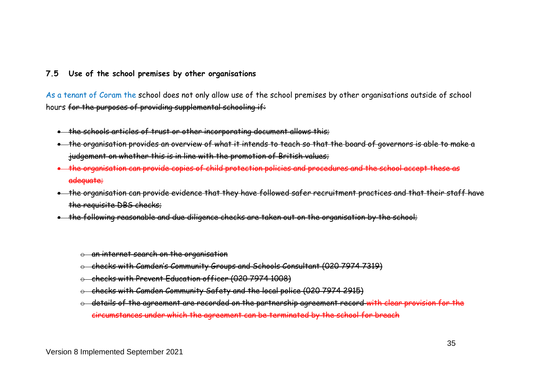#### **7.5 Use of the school premises by other organisations**

As a tenant of Coram the school does not only allow use of the school premises by other organisations outside of school hours for the purposes of providing supplemental schooling if:

- the schools articles of trust or other incorporating document allows this;
- the organisation provides an overview of what it intends to teach so that the board of governors is able to make a judgement on whether this is in line with the promotion of British values;
- the organisation can provide copies of child protection policies and procedures and the school accept these as adequate;
- . the organisation can provide evidence that they have followed safer recruitment practices and that their staff have the requisite DBS checks;
- the following reasonable and due diligence checks are taken out on the organisation by the school;
	- o an internet search on the organisation
	- o checks with Camden's Community Groups and Schools Consultant (020 7974 7319)
	- checks with Prevent Education officer (020 7974 1008)
	- o checks with Camden Community Safety and the local police (020 7974 2915)
	- details of the agreement are recorded on the partnership agreement record with clear provision for the circumstances under which the agreement can be terminated by the school for breach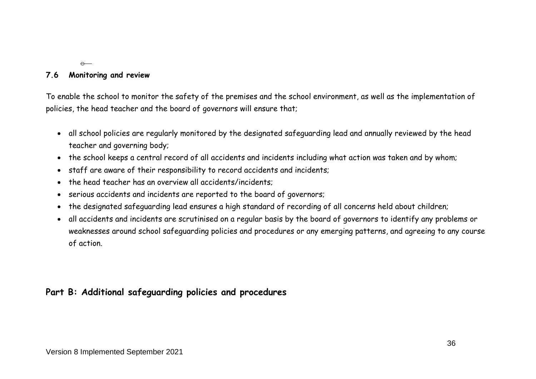#### **7.6 Monitoring and review**

 $\Theta$ 

To enable the school to monitor the safety of the premises and the school environment, as well as the implementation of policies, the head teacher and the board of governors will ensure that;

- all school policies are regularly monitored by the designated safeguarding lead and annually reviewed by the head teacher and governing body;
- the school keeps a central record of all accidents and incidents including what action was taken and by whom;
- staff are aware of their responsibility to record accidents and incidents;
- the head teacher has an overview all accidents/incidents;
- serious accidents and incidents are reported to the board of governors;
- the designated safeguarding lead ensures a high standard of recording of all concerns held about children;
- all accidents and incidents are scrutinised on a regular basis by the board of governors to identify any problems or weaknesses around school safeguarding policies and procedures or any emerging patterns, and agreeing to any course of action.

# **Part B: Additional safeguarding policies and procedures**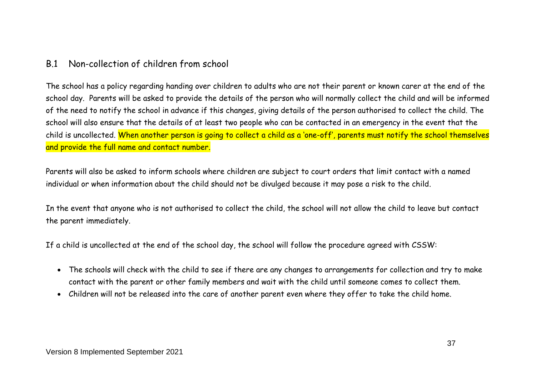# B.1 Non-collection of children from school

The school has a policy regarding handing over children to adults who are not their parent or known carer at the end of the school day. Parents will be asked to provide the details of the person who will normally collect the child and will be informed of the need to notify the school in advance if this changes, giving details of the person authorised to collect the child. The school will also ensure that the details of at least two people who can be contacted in an emergency in the event that the child is uncollected. When another person is going to collect a child as a 'one-off', parents must notify the school themselves and provide the full name and contact number.

Parents will also be asked to inform schools where children are subject to court orders that limit contact with a named individual or when information about the child should not be divulged because it may pose a risk to the child.

In the event that anyone who is not authorised to collect the child, the school will not allow the child to leave but contact the parent immediately.

If a child is uncollected at the end of the school day, the school will follow the procedure agreed with CSSW:

- The schools will check with the child to see if there are any changes to arrangements for collection and try to make contact with the parent or other family members and wait with the child until someone comes to collect them.
- Children will not be released into the care of another parent even where they offer to take the child home.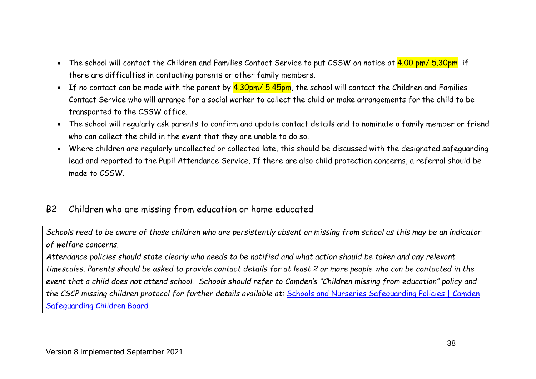- The school will contact the Children and Families Contact Service to put CSSW on notice at  $\frac{4.00 \text{ pm}}{5.30 \text{pm}}$  if there are difficulties in contacting parents or other family members.
- If no contact can be made with the parent by  $4.30$ pm/  $5.45$ pm, the school will contact the Children and Families Contact Service who will arrange for a social worker to collect the child or make arrangements for the child to be transported to the CSSW office.
- The school will regularly ask parents to confirm and update contact details and to nominate a family member or friend who can collect the child in the event that they are unable to do so.
- Where children are regularly uncollected or collected late, this should be discussed with the designated safeguarding lead and reported to the Pupil Attendance Service. If there are also child protection concerns, a referral should be made to CSSW.

# B2 Children who are missing from education or home educated

*Schools need to be aware of those children who are persistently absent or missing from school as this may be an indicator of welfare concerns.* 

*Attendance policies should state clearly who needs to be notified and what action should be taken and any relevant timescales. Parents should be asked to provide contact details for at least 2 or more people who can be contacted in the event that a child does not attend school. Schools should refer to Camden's "Children missing from education" policy and the CSCP missing children protocol for further details available at:* [Schools and Nurseries Safeguarding Policies | Camden](http://www.cscb-new.co.uk/?page_id=7882)  [Safeguarding Children Board](http://www.cscb-new.co.uk/?page_id=7882)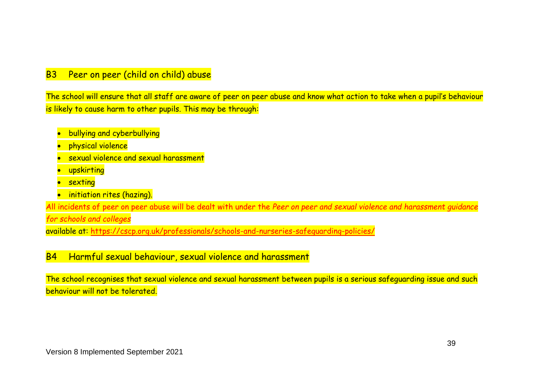# B3 Peer on peer (child on child) abuse

The school will ensure that all staff are aware of peer on peer abuse and know what action to take when a pupil's behaviour is likely to cause harm to other pupils. This may be through:

- bullying and cyberbullying
- physical violence
- **•** sexual violence and sexual harassment
- **•** upskirting
- **•** sexting
- **•** initiation rites (hazing).

All incidents of peer on peer abuse will be dealt with under the *Peer on peer and sexual violence and harassment guidance* 

*for schools and colleges* 

available at: <https://cscp.org.uk/professionals/schools-and-nurseries-safeguarding-policies/>

# B4 Harmful sexual behaviour, sexual violence and harassment

The school recognises that sexual violence and sexual harassment between pupils is a serious safeguarding issue and such behaviour will not be tolerated.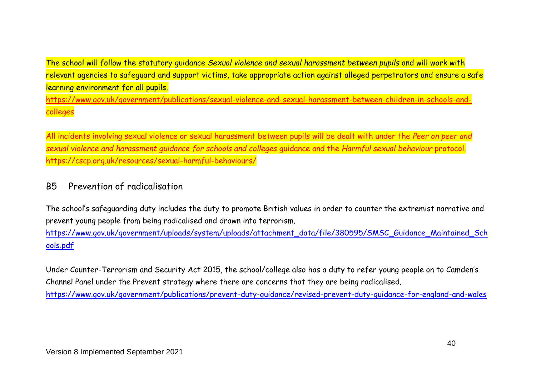The school will follow the statutory guidance *Sexual violence and sexual harassment between pupils* and will work with relevant agencies to safeguard and support victims, take appropriate action against alleged perpetrators and ensure a safe learning environment for all pupils. [https://www.gov.uk/government/publications/sexual-violence-and-sexual-harassment-between-children-in-schools-and](https://www.gov.uk/government/publications/sexual-violence-and-sexual-harassment-between-children-in-schools-and-colleges)[colleges](https://www.gov.uk/government/publications/sexual-violence-and-sexual-harassment-between-children-in-schools-and-colleges)

All incidents involving sexual violence or sexual harassment between pupils will be dealt with under the *Peer on peer and sexual violence and harassment guidance for schools and colleges* guidance and the *Harmful sexual behaviour* protocol. https://cscp.org.uk/resources/sexual-harmful-behaviours/

# B5 Prevention of radicalisation

The school's safeguarding duty includes the duty to promote British values in order to counter the extremist narrative and prevent young people from being radicalised and drawn into terrorism.

[https://www.gov.uk/government/uploads/system/uploads/attachment\\_data/file/380595/SMSC\\_Guidance\\_Maintained\\_Sch](https://www.gov.uk/government/uploads/system/uploads/attachment_data/file/380595/SMSC_Guidance_Maintained_Schools.pdf) [ools.pdf](https://www.gov.uk/government/uploads/system/uploads/attachment_data/file/380595/SMSC_Guidance_Maintained_Schools.pdf)

Under Counter-Terrorism and Security Act 2015, the school/college also has a duty to refer young people on to Camden's Channel Panel under the Prevent strategy where there are concerns that they are being radicalised. <https://www.gov.uk/government/publications/prevent-duty-guidance/revised-prevent-duty-guidance-for-england-and-wales>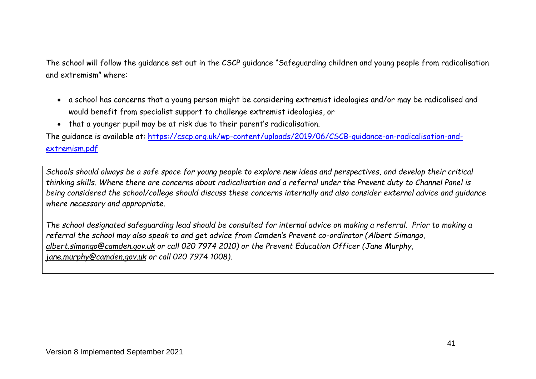The school will follow the guidance set out in the CSCP guidance "Safeguarding children and young people from radicalisation and extremism" where:

- a school has concerns that a young person might be considering extremist ideologies and/or may be radicalised and would benefit from specialist support to challenge extremist ideologies, or
- that a younger pupil may be at risk due to their parent's radicalisation.

The guidance is available at: [https://cscp.org.uk/wp-content/uploads/2019/06/CSCB-guidance-on-radicalisation-and](https://cscp.org.uk/wp-content/uploads/2019/06/CSCB-guidance-on-radicalisation-and-extremism.pdf)[extremism.pdf](https://cscp.org.uk/wp-content/uploads/2019/06/CSCB-guidance-on-radicalisation-and-extremism.pdf)

*Schools should always be a safe space for young people to explore new ideas and perspectives, and develop their critical thinking skills. Where there are concerns about radicalisation and a referral under the Prevent duty to Channel Panel is being considered the school/college should discuss these concerns internally and also consider external advice and guidance where necessary and appropriate.*

*The school designated safeguarding lead should be consulted for internal advice on making a referral. Prior to making a referral the school may also speak to and get advice from Camden's Prevent co-ordinator (Albert Simango, [albert.simango@camden.gov.uk](mailto:albert.simango@camden.gov.uk) or call 020 7974 2010) or the Prevent Education Officer (Jane Murphy, [jane.murphy@camden.gov.uk](mailto:jane.murphy@camden.gov.uk) or call 020 7974 1008).*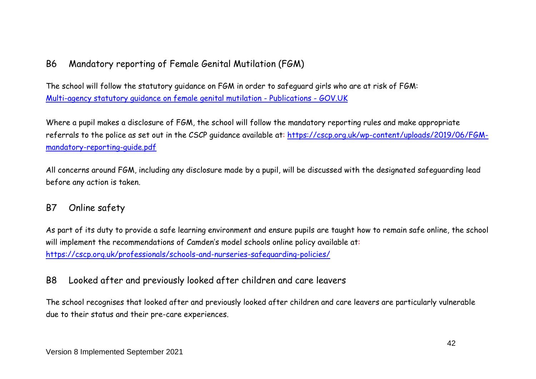# B6 Mandatory reporting of Female Genital Mutilation (FGM)

The school will follow the statutory guidance on FGM in order to safeguard girls who are at risk of FGM: [Multi-agency statutory guidance on female genital mutilation -](https://www.gov.uk/government/publications/multi-agency-statutory-guidance-on-female-genital-mutilation) Publications - GOV.UK

Where a pupil makes a disclosure of FGM, the school will follow the mandatory reporting rules and make appropriate referrals to the police as set out in the CSCP guidance available at: [https://cscp.org.uk/wp-content/uploads/2019/06/FGM](https://cscp.org.uk/wp-content/uploads/2019/06/FGM-mandatory-reporting-guide.pdf)[mandatory-reporting-guide.pdf](https://cscp.org.uk/wp-content/uploads/2019/06/FGM-mandatory-reporting-guide.pdf)

All concerns around FGM, including any disclosure made by a pupil, will be discussed with the designated safeguarding lead before any action is taken.

# B7 Online safety

As part of its duty to provide a safe learning environment and ensure pupils are taught how to remain safe online, the school will implement the recommendations of Camden's model schools online policy available at: <https://cscp.org.uk/professionals/schools-and-nurseries-safeguarding-policies/>

# B8 Looked after and previously looked after children and care leavers

The school recognises that looked after and previously looked after children and care leavers are particularly vulnerable due to their status and their pre-care experiences.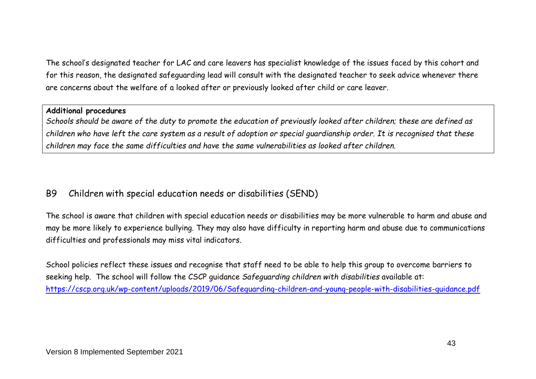The school's designated teacher for LAC and care leavers has specialist knowledge of the issues faced by this cohort and for this reason, the designated safeguarding lead will consult with the designated teacher to seek advice whenever there are concerns about the welfare of a looked after or previously looked after child or care leaver.

#### **Additional procedures**

*Schools should be aware of the duty to promote the education of previously looked after children; these are defined as children who have left the care system as a result of adoption or special guardianship order. It is recognised that these children may face the same difficulties and have the same vulnerabilities as looked after children.*

# B9 Children with special education needs or disabilities (SEND)

The school is aware that children with special education needs or disabilities may be more vulnerable to harm and abuse and may be more likely to experience bullying. They may also have difficulty in reporting harm and abuse due to communications difficulties and professionals may miss vital indicators.

School policies reflect these issues and recognise that staff need to be able to help this group to overcome barriers to seeking help. The school will follow the CSCP guidance *Safeguarding children with disabilities* available at: <https://cscp.org.uk/wp-content/uploads/2019/06/Safeguarding-children-and-young-people-with-disabilities-guidance.pdf>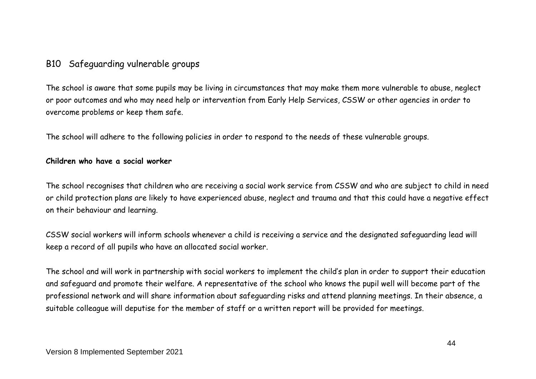# B10 Safeguarding vulnerable groups

The school is aware that some pupils may be living in circumstances that may make them more vulnerable to abuse, neglect or poor outcomes and who may need help or intervention from Early Help Services, CSSW or other agencies in order to overcome problems or keep them safe.

The school will adhere to the following policies in order to respond to the needs of these vulnerable groups.

#### **Children who have a social worker**

The school recognises that children who are receiving a social work service from CSSW and who are subject to child in need or child protection plans are likely to have experienced abuse, neglect and trauma and that this could have a negative effect on their behaviour and learning.

CSSW social workers will inform schools whenever a child is receiving a service and the designated safeguarding lead will keep a record of all pupils who have an allocated social worker.

The school and will work in partnership with social workers to implement the child's plan in order to support their education and safeguard and promote their welfare. A representative of the school who knows the pupil well will become part of the professional network and will share information about safeguarding risks and attend planning meetings. In their absence, a suitable colleague will deputise for the member of staff or a written report will be provided for meetings.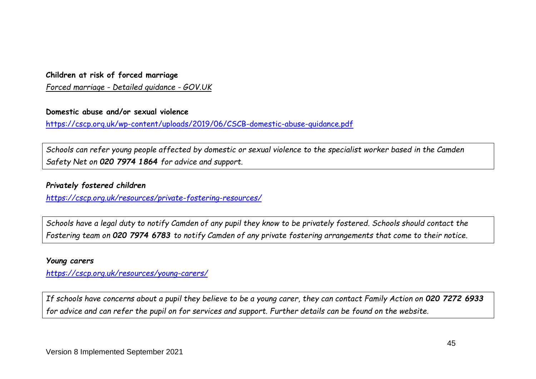#### **Children at risk of forced marriage**

*Forced marriage - [Detailed guidance -](https://www.gov.uk/forced-marriage) GOV.UK*

#### **Domestic abuse and/or sexual violence**

<https://cscp.org.uk/wp-content/uploads/2019/06/CSCB-domestic-abuse-guidance.pdf>

*Schools can refer young people affected by domestic or sexual violence to the specialist worker based in the Camden Safety Net on 020 7974 1864 for advice and support.*

#### *Privately fostered children*

*<https://cscp.org.uk/resources/private-fostering-resources/>*

*Schools have a legal duty to notify Camden of any pupil they know to be privately fostered. Schools should contact the Fostering team on 020 7974 6783 to notify Camden of any private fostering arrangements that come to their notice*.

#### *Young carers*

*<https://cscp.org.uk/resources/young-carers/>*

*If schools have concerns about a pupil they believe to be a young carer, they can contact Family Action on 020 7272 6933 for advice and can refer the pupil on for services and support. Further details can be found on the website.*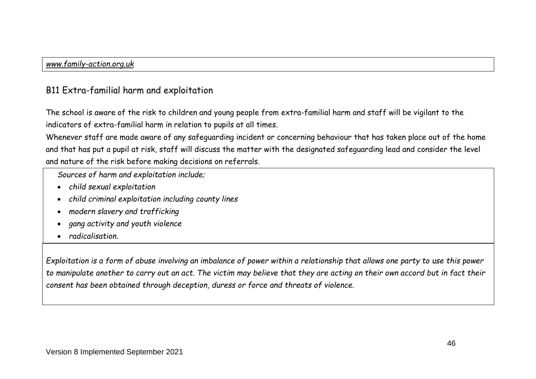# B11 Extra-familial harm and exploitation

The school is aware of the risk to children and young people from extra-familial harm and staff will be vigilant to the indicators of extra-familial harm in relation to pupils at all times.

Whenever staff are made aware of any safeguarding incident or concerning behaviour that has taken place out of the home and that has put a pupil at risk, staff will discuss the matter with the designated safeguarding lead and consider the level and nature of the risk before making decisions on referrals.

*Sources of harm and exploitation include;*

- *child sexual exploitation*
- *child criminal exploitation including county lines*
- *modern slavery and trafficking*
- *gang activity and youth violence*
- *radicalisation.*

*Exploitation is a form of abuse involving an imbalance of power within a relationship that allows one party to use this power to manipulate another to carry out an act. The victim may believe that they are acting on their own accord but in fact their consent has been obtained through deception, duress or force and threats of violence.*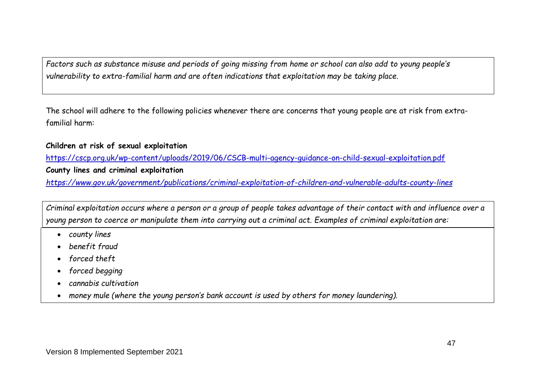*Factors such as substance misuse and periods of going missing from home or school can also add to young people's vulnerability to extra-familial harm and are often indications that exploitation may be taking place.*

The school will adhere to the following policies whenever there are concerns that young people are at risk from extrafamilial harm:

#### **Children at risk of sexual exploitation**

<https://cscp.org.uk/wp-content/uploads/2019/06/CSCB-multi-agency-guidance-on-child-sexual-exploitation.pdf> **County lines and criminal exploitation**

*<https://www.gov.uk/government/publications/criminal-exploitation-of-children-and-vulnerable-adults-county-lines>*

*Criminal exploitation occurs where a person or a group of people takes advantage of their contact with and influence over a young person to coerce or manipulate them into carrying out a criminal act. Examples of criminal exploitation are:*

- *county lines*
- *benefit fraud*
- *forced theft*
- *forced begging*
- *cannabis cultivation*
- *money mule (where the young person's bank account is used by others for money laundering).*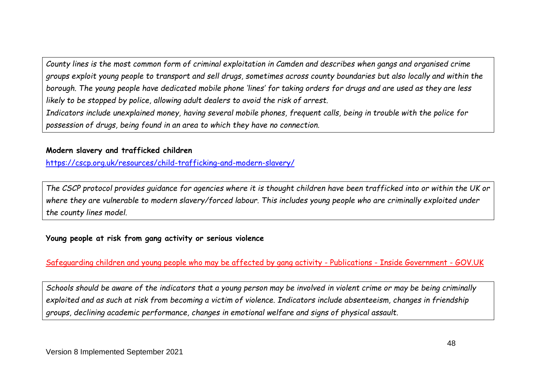*County lines is the most common form of criminal exploitation in Camden and describes when gangs and organised crime groups exploit young people to transport and sell drugs, sometimes across county boundaries but also locally and within the borough. The young people have dedicated mobile phone 'lines' for taking orders for drugs and are used as they are less likely to be stopped by police, allowing adult dealers to avoid the risk of arrest.* 

*Indicators include unexplained money, having several mobile phones, frequent calls, being in trouble with the police for possession of drugs, being found in an area to which they have no connection.*

#### **Modern slavery and trafficked children**

<https://cscp.org.uk/resources/child-trafficking-and-modern-slavery/>

*The CSCP protocol provides guidance for agencies where it is thought children have been trafficked into or within the UK or where they are vulnerable to modern slavery/forced labour. This includes young people who are criminally exploited under the county lines model.* 

#### **Young people at risk from gang activity or serious violence**

[Safeguarding children and young people who may be affected by gang activity -](https://www.gov.uk/government/publications/safeguarding-children-and-young-people-who-may-be-affected-by-gang-activity) Publications - Inside Government - GOV.UK

*Schools should be aware of the indicators that a young person may be involved in violent crime or may be being criminally exploited and as such at risk from becoming a victim of violence. Indicators include absenteeism, changes in friendship groups, declining academic performance, changes in emotional welfare and signs of physical assault.*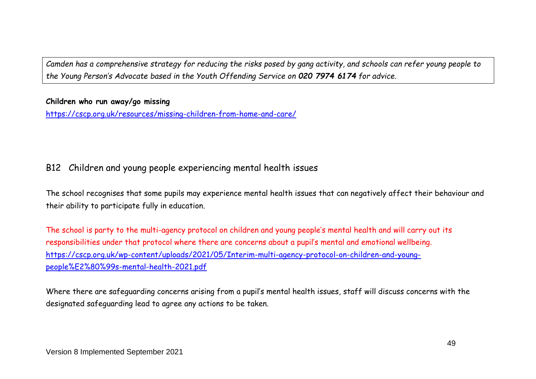*Camden has a comprehensive strategy for reducing the risks posed by gang activity, and schools can refer young people to the Young Person's Advocate based in the Youth Offending Service on 020 7974 6174 for advice.*

#### **Children who run away/go missing**

<https://cscp.org.uk/resources/missing-children-from-home-and-care/>

# B12 Children and young people experiencing mental health issues

The school recognises that some pupils may experience mental health issues that can negatively affect their behaviour and their ability to participate fully in education.

The school is party to the multi-agency protocol on children and young people's mental health and will carry out its responsibilities under that protocol where there are concerns about a pupil's mental and emotional wellbeing. [https://cscp.org.uk/wp-content/uploads/2021/05/Interim-multi-agency-protocol-on-children-and-young](https://cscp.org.uk/wp-content/uploads/2021/05/Interim-multi-agency-protocol-on-children-and-young-people%E2%80%99s-mental-health-2021.pdf)[people%E2%80%99s-mental-health-2021.pdf](https://cscp.org.uk/wp-content/uploads/2021/05/Interim-multi-agency-protocol-on-children-and-young-people%E2%80%99s-mental-health-2021.pdf)

Where there are safeguarding concerns arising from a pupil's mental health issues, staff will discuss concerns with the designated safeguarding lead to agree any actions to be taken.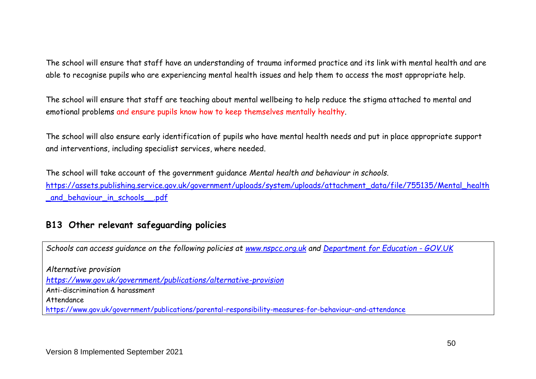The school will ensure that staff have an understanding of trauma informed practice and its link with mental health and are able to recognise pupils who are experiencing mental health issues and help them to access the most appropriate help.

The school will ensure that staff are teaching about mental wellbeing to help reduce the stigma attached to mental and emotional problems and ensure pupils know how to keep themselves mentally healthy.

The school will also ensure early identification of pupils who have mental health needs and put in place appropriate support and interventions, including specialist services, where needed.

The school will take account of the government guidance *Mental health and behaviour in schools.* [https://assets.publishing.service.gov.uk/government/uploads/system/uploads/attachment\\_data/file/755135/Mental\\_health](https://assets.publishing.service.gov.uk/government/uploads/system/uploads/attachment_data/file/755135/Mental_health_and_behaviour_in_schools__.pdf) [\\_and\\_behaviour\\_in\\_schools\\_\\_.pdf](https://assets.publishing.service.gov.uk/government/uploads/system/uploads/attachment_data/file/755135/Mental_health_and_behaviour_in_schools__.pdf)

# **B13 Other relevant safeguarding policies**

*Schools can access guidance on the following policies at [www.nspcc.org.uk](http://www.nspcc.org.uk/) and [Department for Education -](https://www.gov.uk/government/organisations/department-for-education) GOV.UK*

*Alternative provision <https://www.gov.uk/government/publications/alternative-provision>* Anti-discrimination & harassment Attendance <https://www.gov.uk/government/publications/parental-responsibility-measures-for-behaviour-and-attendance>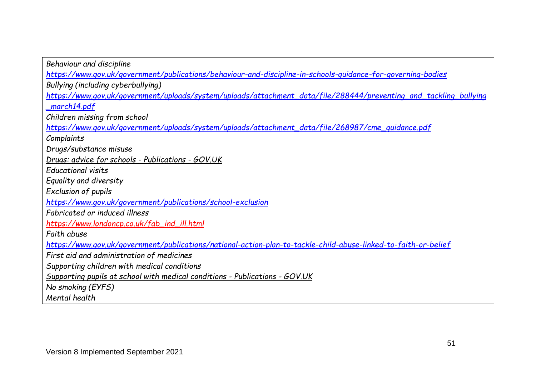| Behaviour and discipline                                                                                             |  |  |
|----------------------------------------------------------------------------------------------------------------------|--|--|
| <u> https://www.gov.uk/government/publications/behaviour-and-discipline-in-schools-guidance-for-governing-bodies</u> |  |  |
| Bullying (including cyberbullying)                                                                                   |  |  |
| https://www.gov.uk/government/uploads/system/uploads/attachment_data/file/288444/preventing_and_tackling_bullying    |  |  |
| _march14.pdf                                                                                                         |  |  |
| Children missing from school                                                                                         |  |  |
| https://www.gov.uk/government/uploads/system/uploads/attachment_data/file/268987/cme_guidance.pdf                    |  |  |
| Complaints                                                                                                           |  |  |
| Drugs/substance misuse                                                                                               |  |  |
| Drugs: advice for schools - Publications - GOV.UK                                                                    |  |  |
| <b>Educational visits</b>                                                                                            |  |  |
| Equality and diversity                                                                                               |  |  |
| Exclusion of pupils                                                                                                  |  |  |
| https://www.gov.uk/government/publications/school-exclusion                                                          |  |  |
| Fabricated or induced illness                                                                                        |  |  |
| https://www.londoncp.co.uk/fab_ind_ill.html                                                                          |  |  |
| Faith abuse                                                                                                          |  |  |
| https://www.gov.uk/government/publications/national-action-plan-to-tackle-child-abuse-linked-to-faith-or-belief      |  |  |
| First aid and administration of medicines                                                                            |  |  |
| Supporting children with medical conditions                                                                          |  |  |
| Supporting pupils at school with medical conditions - Publications - GOV.UK                                          |  |  |
| No smoking (EYFS)                                                                                                    |  |  |
| Mental health                                                                                                        |  |  |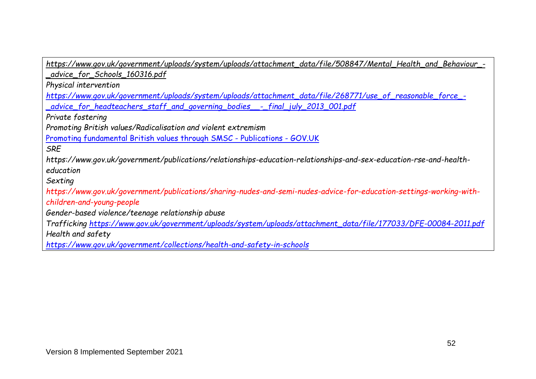| https://www.gov.uk/government/uploads/system/uploads/attachment_data/file/508847/Mental_Health_and_Behaviour_-      |  |  |
|---------------------------------------------------------------------------------------------------------------------|--|--|
| _advice_for_Schools_160316.pdf                                                                                      |  |  |
| Physical intervention                                                                                               |  |  |
| https://www.gov.uk/government/uploads/system/uploads/attachment_data/file/268771/use_of_reasonable_force_-          |  |  |
| _advice_for_headteachers_staff_and_governing_bodies__-_final_july_2013_001.pdf                                      |  |  |
| Private fostering                                                                                                   |  |  |
| Promoting British values/Radicalisation and violent extremism                                                       |  |  |
| Promoting fundamental British values through SMSC - Publications - GOV.UK                                           |  |  |
| <b>SRE</b>                                                                                                          |  |  |
| https://www.gov.uk/government/publications/relationships-education-relationships-and-sex-education-rse-and-health-  |  |  |
| education                                                                                                           |  |  |
| Sexting                                                                                                             |  |  |
| https://www.gov.uk/government/publications/sharing-nudes-and-semi-nudes-advice-for-education-settings-working-with- |  |  |
| children-and-young-people                                                                                           |  |  |
| Gender-based violence/teenage relationship abuse                                                                    |  |  |
| Trafficking https://www.gov.uk/government/uploads/system/uploads/attachment_data/file/177033/DFE-00084-2011.pdf     |  |  |
| Health and safety                                                                                                   |  |  |
| https://www.gov.uk/government/collections/health-and-safety-in-schools                                              |  |  |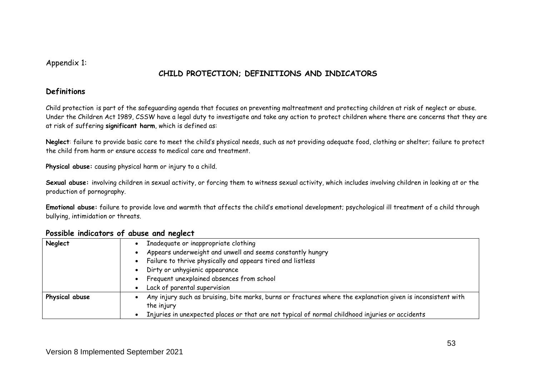Appendix 1:

# **CHILD PROTECTION; DEFINITIONS AND INDICATORS**

#### **Definitions**

Child protection is part of the safeguarding agenda that focuses on preventing maltreatment and protecting children at risk of neglect or abuse. Under the Children Act 1989, CSSW have a legal duty to investigate and take any action to protect children where there are concerns that they are at risk of suffering **significant harm**, which is defined as:

**Neglect**: failure to provide basic care to meet the child's physical needs, such as not providing adequate food, clothing or shelter; failure to protect the child from harm or ensure access to medical care and treatment.

**Physical abuse:** causing physical harm or injury to a child.

**Sexual abuse:** involving children in sexual activity, or forcing them to witness sexual activity, which includes involving children in looking at or the production of pornography.

**Emotional abuse:** failure to provide love and warmth that affects the child's emotional development; psychological ill treatment of a child through bullying, intimidation or threats.

| Neglect        | Inadequate or inappropriate clothing                                                                         |
|----------------|--------------------------------------------------------------------------------------------------------------|
|                | Appears underweight and unwell and seems constantly hungry                                                   |
|                | Failure to thrive physically and appears tired and listless<br>$\bullet$                                     |
|                | Dirty or unhygienic appearance<br>$\bullet$                                                                  |
|                | Frequent unexplained absences from school                                                                    |
|                | Lack of parental supervision                                                                                 |
| Physical abuse | Any injury such as bruising, bite marks, burns or fractures where the explanation given is inconsistent with |
|                | the injury                                                                                                   |
|                | Injuries in unexpected places or that are not typical of normal childhood injuries or accidents              |

#### **Possible indicators of abuse and neglect**